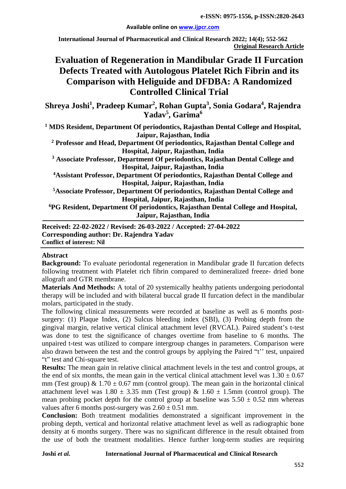#### **Available online on [www.ijpcr.com](http://www.ijpcr.com/)**

**International Journal of Pharmaceutical and Clinical Research 2022; 14(4); 552-562 Original Research Article**

# **Evaluation of Regeneration in Mandibular Grade II Furcation Defects Treated with Autologous Platelet Rich Fibrin and its Comparison with Heliguide and DFDBA: A Randomized Controlled Clinical Trial**

 $\mathbf{Shreya}$  Joshi<sup>1</sup>, Pradeep Kumar<sup>2</sup>, Rohan Gupta<sup>3</sup>, Sonia Godara<sup>4</sup>, Rajendra **Yadav5 , Garima<sup>6</sup>**

**<sup>1</sup> MDS Resident, Department Of periodontics, Rajasthan Dental College and Hospital, Jaipur, Rajasthan, India**

**<sup>2</sup> Professor and Head, Department Of periodontics, Rajasthan Dental College and Hospital, Jaipur, Rajasthan, India**

**<sup>3</sup> Associate Professor, Department Of periodontics, Rajasthan Dental College and Hospital, Jaipur, Rajasthan, India** 

**4 Assistant Professor, Department Of periodontics, Rajasthan Dental College and Hospital, Jaipur, Rajasthan, India** 

**5Associate Professor, Department Of periodontics, Rajasthan Dental College and Hospital, Jaipur, Rajasthan, India**

**6PG Resident, Department Of periodontics, Rajasthan Dental College and Hospital, Jaipur, Rajasthan, India**

**Received: 22-02-2022 / Revised: 26-03-2022 / Accepted: 27-04-2022 Corresponding author: Dr. Rajendra Yadav Conflict of interest: Nil**

# **Abstract**

**Background:** To evaluate periodontal regeneration in Mandibular grade II furcation defects following treatment with Platelet rich fibrin compared to demineralized freeze- dried bone allograft and GTR membrane.

**Materials And Methods:** A total of 20 systemically healthy patients undergoing periodontal therapy will be included and with bilateral buccal grade II furcation defect in the mandibular molars, participated in the study.

The following clinical measurements were recorded at baseline as well as 6 months postsurgery: (1) Plaque Index, (2) Sulcus bleeding index (SBI), (3) Probing depth from the gingival margin, relative vertical clinical attachment level (RVCAL). Paired student's t-test was done to test the significance of changes overtime from baseline to 6 months. The unpaired t-test was utilized to compare intergroup changes in parameters. Comparison were also drawn between the test and the control groups by applying the Paired "t'' test, unpaired "t" test and Chi-square test.

**Results:** The mean gain in relative clinical attachment levels in the test and control groups, at the end of six months, the mean gain in the vertical clinical attachment level was  $1.30 \pm 0.67$ mm (Test group) &  $1.70 \pm 0.67$  mm (control group). The mean gain in the horizontal clinical attachment level was  $1.80 \pm 3.35$  mm (Test group) &  $1.60 \pm 1.5$ mm (control group). The mean probing pocket depth for the control group at baseline was  $5.50 \pm 0.52$  mm whereas values after 6 months post-surgery was  $2.60 \pm 0.51$  mm.

**Conclusion:** Both treatment modalities demonstrated a significant improvement in the probing depth, vertical and horizontal relative attachment level as well as radiographic bone density at 6 months surgery. There was no significant difference in the result obtained from the use of both the treatment modalities. Hence further long-term studies are requiring

**Joshi** *et al.* **International Journal of Pharmaceutical and Clinical Research**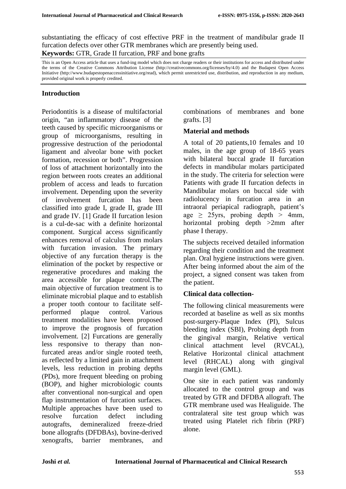substantiating the efficacy of cost effective PRF in the treatment of mandibular grade II furcation defects over other GTR membranes which are presently being used. **Keywords:** GTR, Grade II furcation, PRF and bone grafts

This is an Open Access article that uses a fund-ing model which does not charge readers or their institutions for access and distributed under the terms of the Creative Commons Attribution License (http://creativecommons.org/licenses/by/4.0) and the Budapest Open Access Initiative (http://www.budapestopenaccessinitiative.org/read), which permit unrestricted use, distribution, and reproduction in any medium, provided original work is properly credited.

# **Introduction**

Periodontitis is a disease of multifactorial origin, "an inflammatory disease of the teeth caused by specific microorganisms or group of microorganisms, resulting in progressive destruction of the periodontal ligament and alveolar bone with pocket formation, recession or both". Progression of loss of attachment horizontally into the region between roots creates an additional problem of access and leads to furcation involvement. Depending upon the severity of involvement furcation has been classified into grade I, grade II, grade III and grade IV. [1] Grade II furcation lesion is a cul-de-sac with a definite horizontal component. Surgical access significantly enhances removal of calculus from molars with furcation invasion. The primary objective of any furcation therapy is the elimination of the pocket by respective or regenerative procedures and making the area accessible for plaque control.The main objective of furcation treatment is to eliminate microbial plaque and to establish a proper tooth contour to facilitate selfperformed plaque control. Various treatment modalities have been proposed to improve the prognosis of furcation involvement. [2] Furcations are generally less responsive to therapy than nonfurcated areas and/or single rooted teeth, as reflected by a limited gain in attachment levels, less reduction in probing depths (PDs), more frequent bleeding on probing (BOP), and higher microbiologic counts after conventional non-surgical and open flap instrumentation of furcation surfaces. Multiple approaches have been used to resolve furcation defect including autografts, demineralized freeze-dried bone allografts (DFDBAs), bovine-derived xenografts, barrier membranes, and

combinations of membranes and bone grafts. [3]

# **Material and methods**

A total of 20 patients,10 females and 10 males, in the age group of 18-65 years with bilateral buccal grade II furcation defects in mandibular molars participated in the study. The criteria for selection were Patients with grade II furcation defects in Mandibular molars on buccal side with radiolucency in furcation area in an intraoral periapical radiograph, patient's age  $\geq$  25yrs, probing depth  $>$  4mm, horizontal probing depth >2mm after phase I therapy.

The subjects received detailed information regarding their condition and the treatment plan. Oral hygiene instructions were given. After being informed about the aim of the project, a signed consent was taken from the patient.

# **Clinical data collection-**

The following clinical measurements were recorded at baseline as well as six months post-surgery-Plaque Index (PI), Sulcus bleeding index (SBI), Probing depth from the gingival margin, Relative vertical clinical attachment level (RVCAL), Relative Horizontal clinical attachment level (RHCAL) along with gingival margin level (GML).

One site in each patient was randomly allocated to the control group and was treated by GTR and DFDBA allograft. The GTR membrane used was Healiguide. The contralateral site test group which was treated using Platelet rich fibrin (PRF) alone.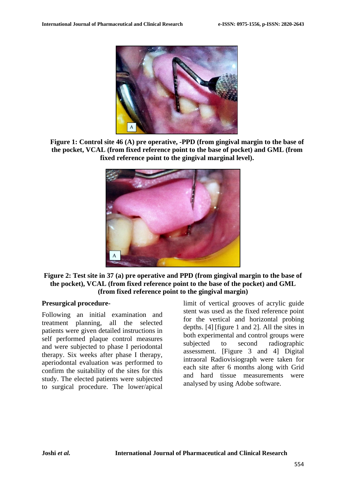

**Figure 1: Control site 46 (A) pre operative, -PPD (from gingival margin to the base of the pocket, VCAL (from fixed reference point to the base of pocket) and GML (from fixed reference point to the gingival marginal level).**



**Figure 2: Test site in 37 (a) pre operative and PPD (from gingival margin to the base of the pocket), VCAL (from fixed reference point to the base of the pocket) and GML (from fixed reference point to the gingival margin)**

#### **Presurgical procedure-**

Following an initial examination and treatment planning, all the selected patients were given detailed instructions in self performed plaque control measures and were subjected to phase I periodontal therapy. Six weeks after phase I therapy, aperiodontal evaluation was performed to confirm the suitability of the sites for this study. The elected patients were subjected to surgical procedure. The lower/apical

limit of vertical grooves of acrylic guide stent was used as the fixed reference point for the vertical and horizontal probing depths. [4] [figure 1 and 2]. All the sites in both experimental and control groups were subjected to second radiographic assessment. [Figure 3 and 4] Digital intraoral Radiovisiograph were taken for each site after 6 months along with Grid and hard tissue measurements were analysed by using Adobe software.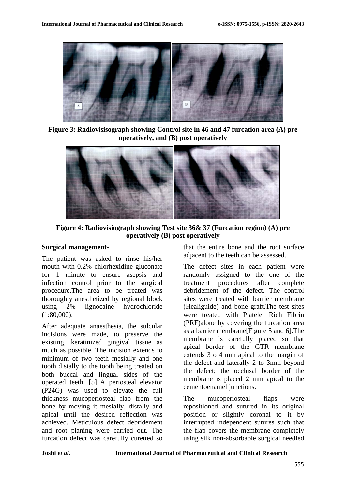

**Figure 3: Radiovisisograph showing Control site in 46 and 47 furcation area (A) pre operatively, and (B) post operatively**



**Figure 4: Radiovisiograph showing Test site 36& 37 (Furcation region) (A) pre operatively (B) post operatively**

#### **Surgical management-**

The patient was asked to rinse his/her mouth with 0.2% chlorhexidine gluconate for 1 minute to ensure asepsis and infection control prior to the surgical procedure.The area to be treated was thoroughly anesthetized by regional block using 2% lignocaine hydrochloride (1:80,000).

After adequate anaesthesia, the sulcular incisions were made, to preserve the existing, keratinized gingival tissue as much as possible. The incision extends to minimum of two teeth mesially and one tooth distally to the tooth being treated on both buccal and lingual sides of the operated teeth. [5] A periosteal elevator (P24G) was used to elevate the full thickness mucoperiosteal flap from the bone by moving it mesially, distally and apical until the desired reflection was achieved. Meticulous defect debridement and root planing were carried out. The furcation defect was carefully curetted so

that the entire bone and the root surface adjacent to the teeth can be assessed.

The defect sites in each patient were randomly assigned to the one of the treatment procedures after complete debridement of the defect. The control sites were treated with barrier membrane (Healiguide) and bone graft.The test sites were treated with Platelet Rich Fibrin (PRF)alone by covering the furcation area as a barrier membrane[Figure 5 and 6].The membrane is carefully placed so that apical border of the GTR membrane extends 3 o 4 mm apical to the margin of the defect and laterally 2 to 3mm beyond the defect; the occlusal border of the membrane is placed 2 mm apical to the cementoenamel junctions.

The mucoperiosteal flaps were repositioned and sutured in its original position or slightly coronal to it by interrupted independent sutures such that the flap covers the membrane completely using silk non-absorbable surgical needled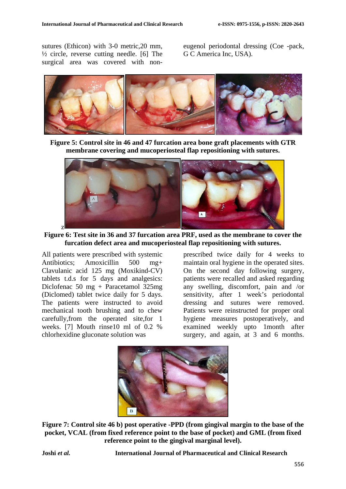sutures (Ethicon) with 3-0 metric,20 mm,  $\frac{1}{2}$  circle, reverse cutting needle. [6] The surgical area was covered with noneugenol periodontal dressing (Coe -pack, G C America Inc, USA).



**Figure 5: Control site in 46 and 47 furcation area bone graft placements with GTR membrane covering and mucoperiosteal flap repositioning with sutures.**



**Figure 6: Test site in 36 and 37 furcation area PRF, used as the membrane to cover the furcation defect area and mucoperiosteal flap repositioning with sutures.**

All patients were prescribed with systemic Antibiotics; Amoxicillin 500 mg+ Clavulanic acid 125 mg (Moxikind-CV) tablets t.d.s for 5 days and analgesics: Diclofenac 50 mg + Paracetamol 325mg (Diclomed) tablet twice daily for 5 days. The patients were instructed to avoid mechanical tooth brushing and to chew carefully,from the operated site,for 1 weeks. [7] Mouth rinse10 ml of 0.2 % chlorhexidine gluconate solution was

prescribed twice daily for 4 weeks to maintain oral hygiene in the operated sites. On the second day following surgery, patients were recalled and asked regarding any swelling, discomfort, pain and /or sensitivity, after 1 week's periodontal dressing and sutures were removed. Patients were reinstructed for proper oral hygiene measures postoperatively, and examined weekly upto 1month after surgery, and again, at 3 and 6 months.



**Figure 7: Control site 46 b) post operative -PPD (from gingival margin to the base of the pocket, VCAL (from fixed reference point to the base of pocket) and GML (from fixed reference point to the gingival marginal level).**

**Joshi** *et al.* **International Journal of Pharmaceutical and Clinical Research**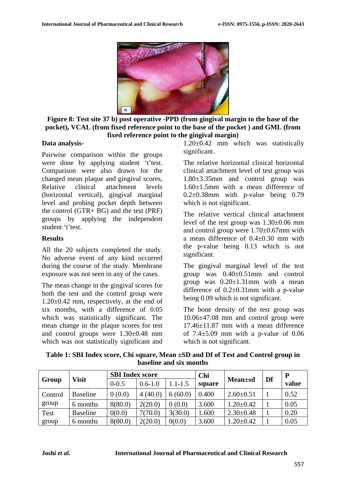

**Figure 8: Test site 37 b) post operative -PPD (from gingival margin to the base of the pocket), VCAL (from fixed reference point to the base of the pocket ) and GML (from fixed reference point to the gingival margin)**

#### **Data analysis-**

Pairwise comparison within the groups were done by applying student 't'test. Comparison were also drawn for the changed mean plaque and gingival scores, Relative clinical attachment levels (horizontal vertical), gingival marginal level and probing pocket depth between the control (GTR+ BG) and the test (PRF) groups by applying the independent student 't'test.

### **Results**

All the 20 subjects completed the study. No adverse event of any kind occurred during the course of the study. Membrane exposure was not seen in any of the cases.

The mean change in the gingival scores for both the test and the control group were  $1.20\pm0.42$  mm, respectively, at the end of six months, with a difference of 0.05 which was statistically significant. The mean change in the plaque scores for test and control groups were 1.30±0.48 mm which was not statistically significant and 1.20±0.42 mm which was statistically significant.

The relative horizontal clinical horizontal clinical attachment level of test group was 1.80±3.35mm and control group was 1.60±1.5mm with a mean difference of  $0.2\pm0.38$ mm with p-value being 0.79 which is not significant.

The relative vertical clinical attachment level of the test group was 1.30±0.06 mm and control group were 1.70±0.67mm with a mean difference of 0.4±0.30 mm with the p-value being 0.13 which is not significant.

The gingival marginal level of the test group was 0.40±0.51mm and control group was  $0.20 \pm 1.31$  mm with a mean difference of  $0.2\pm0.31$  mm with a p-value being 0.09 which is not significant.

The bone density of the test group was 10.06±47.08 mm and control group were 17.46±11.87 mm with a mean difference of  $7.4 \pm 5.09$  mm with a p-value of  $0.06$ which is not significant.

**Table 1: SBI Index score, Chi square, Mean ±SD and Df of Test and Control group in baseline and six months**

|             |                 | <b>SBI</b> Index score |             |             | Chi    |                 |    |       |
|-------------|-----------------|------------------------|-------------|-------------|--------|-----------------|----|-------|
| Group       | Visit           | $0 - 0.5$              | $0.6 - 1.0$ | $1.1 - 1.5$ | square | <b>Mean</b> ±sd | Df | value |
| Control     | <b>Baseline</b> | 0(0.0)                 | 4(40.0)     | 6(60.0)     | 0.400  | $2.60 \pm 0.51$ |    | 0.52  |
| group       | 6 months        | 8(80.0)                | 2(20.0)     | 0(0.0)      | 3.600  | $1.20 \pm 0.42$ |    | 0.05  |
| <b>Test</b> | <b>Baseline</b> | 0(0.0)                 | 7(70.0)     | 3(30.0)     | 1.600  | $2.30 \pm 0.48$ |    | 0.20  |
| group       | 6 months        | 8(80.0)                | 2(20.0)     | 0(0.0)      | 3.600  | $1.20 \pm 0.42$ |    | 0.05  |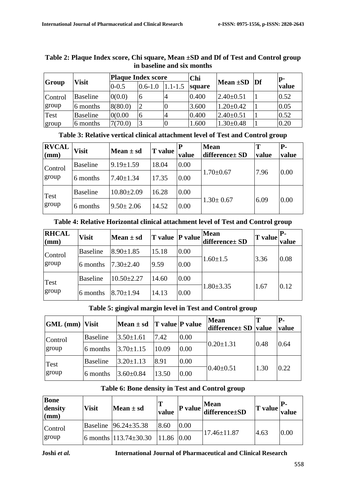|         | III DASENNE ANU SIX MONUIS |           |                                  |             |        |                  |  |                |  |  |  |
|---------|----------------------------|-----------|----------------------------------|-------------|--------|------------------|--|----------------|--|--|--|
| Group   |                            |           | <b>Plaque Index score</b><br>Chi |             |        |                  |  | $\mathbf{p}$ - |  |  |  |
|         | Visit                      | $0 - 0.5$ | $0.6 - 1.0$                      | $1.1 - 1.5$ | square | Mean $\pm SD$ Df |  | value          |  |  |  |
| Control | <b>Baseline</b>            | 0(0.0)    | 6                                |             | 0.400  | $2.40 \pm 0.51$  |  | 0.52           |  |  |  |
| group   | 6 months                   | 8(80.0)   |                                  |             | 3.600  | $1.20 \pm 0.42$  |  | 0.05           |  |  |  |
| Test    | <b>Baseline</b>            | 0(0.00)   | 6                                |             | 0.400  | $2.40 \pm 0.51$  |  | 0.52           |  |  |  |
| group   | 6 months                   | 7(70.0)   |                                  |             | 1.600  | $1.30 \pm 0.48$  |  | 0.20           |  |  |  |

# **Table 2: Plaque Index score, Chi square, Mean ±SD and Df of Test and Control group in baseline and six months**

|  |  | Table 3: Relative vertical clinical attachment level of Test and Control group |
|--|--|--------------------------------------------------------------------------------|
|--|--|--------------------------------------------------------------------------------|

| <b>RVCAL</b><br>$(\mathbf{mm})$ | <b>Visit</b>    | Mean $\pm$ sd    | T value | value | <b>Mean</b><br>difference ± SD | Т<br>value | $P-$<br>value |
|---------------------------------|-----------------|------------------|---------|-------|--------------------------------|------------|---------------|
| Control<br>group                | <b>Baseline</b> | $9.19 \pm 1.59$  | 18.04   | 0.00  |                                |            | 0.00          |
|                                 | 6 months        | $7.40 \pm 1.34$  | 17.35   | 0.00  | $1.70 \pm 0.67$                | 7.96       |               |
| Test                            | <b>Baseline</b> | $10.80 \pm 2.09$ | 16.28   | 0.00  |                                |            |               |
| group                           | 6 months        | $9.50 \pm 2.06$  | 14.52   | 0.00  | $1.30 \pm 0.67$                | 6.09       | 0.00          |

| <b>RHCAL</b><br>$(\mathbf{mm})$ | <b>Visit</b>    | Mean $\pm$ sd    |       |      | <b>Mean</b><br>$ T \text{ value }  P \text{ value}$ difference $\pm SD$ | $\vert$ T value $\vert$ <sup>P-</sup> | value |
|---------------------------------|-----------------|------------------|-------|------|-------------------------------------------------------------------------|---------------------------------------|-------|
| Control<br>group                | <b>Baseline</b> | $8.90 \pm 1.85$  | 15.18 | 0.00 |                                                                         |                                       |       |
|                                 | 6 months        | $7.30 \pm 2.40$  | 9.59  | 0.00 | $1.60 \pm 1.5$                                                          | 3.36                                  | 0.08  |
| <b>Test</b><br>group            | <b>Baseline</b> | $10.50 \pm 2.27$ | 14.60 | 0.00 |                                                                         |                                       |       |
|                                 | 6 months        | $8.70 \pm 1.94$  | 14.13 | 0.00 | $1.80 \pm 3.35$                                                         | 1.67                                  | 0.12  |

# **Table 5: gingival margin level in Test and Control group**

| $ GML$ (mm) Visit |                 | Mean $\pm$ sd T value P value |       |      | <b>Mean</b><br>difference± SD value |      | <b>P</b> -<br>value |
|-------------------|-----------------|-------------------------------|-------|------|-------------------------------------|------|---------------------|
| Control           | Baseline        | $3.50 \pm 1.61$               | 7.42  | 0.00 |                                     |      |                     |
| group             | 6 months        | $3.70 \pm 1.15$               | 10.09 | 0.00 | $0.20 \pm 1.31$                     | 0.48 | 0.64                |
| Test<br>group     | <b>Baseline</b> | $3.20 \pm 1.13$               | 8.91  | 0.00 |                                     |      |                     |
|                   | 6 months        | $3.60 \pm 0.84$               | 13.50 | 0.00 | $0.40 \pm 0.51$                     | 1.30 | 0.22                |

# **Table 6: Bone density in Test and Control group**

| <b>Bone</b><br>density<br>$(\mathbf{mm})$ | <b>Visit</b> | $Mean ± sd$                            | value |      | $\bf{P}$ value $\begin{vmatrix} \bf{Mean} \\ \bf{difference}\pm\bf{SD} \end{vmatrix}$ | $\mathbf{T}$ value $\mathbf{T}$ | value |
|-------------------------------------------|--------------|----------------------------------------|-------|------|---------------------------------------------------------------------------------------|---------------------------------|-------|
| Control                                   |              | Baseline $ 96.24 \pm 35.38$            | 8.60  | 0.00 |                                                                                       |                                 |       |
| group                                     |              | 6 months $113.74 \pm 30.30$ 11.86 0.00 |       |      | $17.46 \pm 11.87$                                                                     | 4.63                            | 0.00  |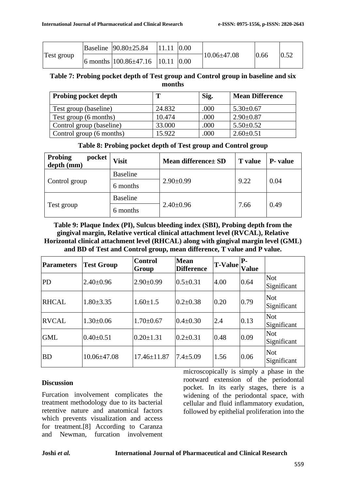|            | Baseline $ 90.80 \pm 25.84 $ 11.11 $ 0.00 $ |  |                   |      |      |
|------------|---------------------------------------------|--|-------------------|------|------|
| Test group | 6 months $100.86\pm47.16$ 10.11 0.00        |  | $10.06 \pm 47.08$ | 0.66 | 0.52 |

# **Table 7: Probing pocket depth of Test group and Control group in baseline and six months**

| <b>Probing pocket depth</b> | т      | Sig. | <b>Mean Difference</b> |
|-----------------------------|--------|------|------------------------|
| Test group (baseline)       | 24.832 | .000 | $5.30 \pm 0.67$        |
| Test group (6 months)       | 10.474 | .000 | $2.90 \pm 0.87$        |
| Control group (baseline)    | 33.000 | .000 | $5.50 \pm 0.52$        |
| Control group (6 months)    | 15.922 | 000  | $2.60 \pm 0.51$        |

# **Table 8: Probing pocket depth of Test group and Control group**

| <b>Probing</b><br>pocket<br>depth (mm) | <b>Visit</b>    | Mean difference ± SD | <b>T</b> value | <b>P</b> - value |  |
|----------------------------------------|-----------------|----------------------|----------------|------------------|--|
|                                        | <b>Baseline</b> |                      |                | 0.04             |  |
| Control group                          | 6 months        | $2.90 \pm 0.99$      | 9.22           |                  |  |
|                                        | <b>Baseline</b> |                      |                |                  |  |
| Test group                             | 6 months        | $2.40 \pm 0.96$      | 7.66           | 0.49             |  |

# **Table 9: Plaque Index (PI), Sulcus bleeding index (SBI), Probing depth from the gingival margin, Relative vertical clinical attachment level (RVCAL), Relative Horizontal clinical attachment level (RHCAL) along with gingival margin level (GML) and BD of Test and Control group, mean difference, T value and P value.**

| <b>Parameters</b> | <b>Test Group</b> | <b>Control</b><br>Group | <b>Mean</b><br><b>Difference</b> | <b>T-Value</b> | P-<br><b>Value</b> |                           |
|-------------------|-------------------|-------------------------|----------------------------------|----------------|--------------------|---------------------------|
| PD                | $2.40 \pm 0.96$   | $2.90 \pm 0.99$         | $0.5 \pm 0.31$                   | 4.00           | 0.64               | <b>Not</b><br>Significant |
| <b>RHCAL</b>      | $1.80 \pm 3.35$   | $1.60 \pm 1.5$          | $0.2 \pm 0.38$                   | 0.20           | 0.79               | Not<br>Significant        |
| <b>RVCAL</b>      | $1.30 \pm 0.06$   | $1.70 \pm 0.67$         | $0.4 \pm 0.30$                   | 2.4            | 0.13               | <b>Not</b><br>Significant |
| <b>GML</b>        | $0.40 \pm 0.51$   | $0.20 \pm 1.31$         | $0.2 \pm 0.31$                   | 0.48           | 0.09               | Not<br>Significant        |
| <b>BD</b>         | $10.06 \pm 47.08$ | $17.46 \pm 11.87$       | $7.4 \pm 5.09$                   | 1.56           | 0.06               | <b>Not</b><br>Significant |

# **Discussion**

Furcation involvement complicates the treatment methodology due to its bacterial retentive nature and anatomical factors which prevents visualization and access for treatment.[8] According to Caranza and Newman, furcation involvement microscopically is simply a phase in the rootward extension of the periodontal pocket. In its early stages, there is a widening of the periodontal space, with cellular and fluid inflammatory exudation, followed by epithelial proliferation into the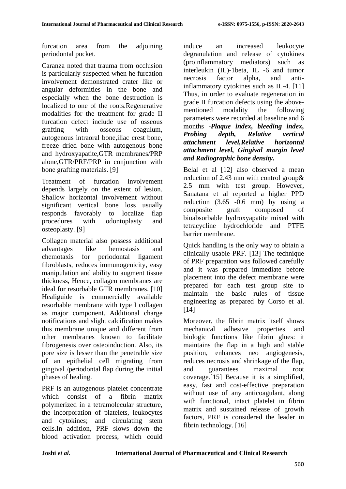furcation area from the adjoining periodontal pocket.

Caranza noted that trauma from occlusion is particularly suspected when he furcation involvement demonstrated crater like or angular deformities in the bone and especially when the bone destruction is localized to one of the roots.Regenerative modalities for the treatment for grade II furcation defect include use of osseous grafting with osseous coagulum, autogenous intraoral bone,iliac crest bone, freeze dried bone with autogenous bone and hydroxyapatite,GTR membranes/PRP alone,GTR/PRF/PRP in conjunction with bone grafting materials. [9]

Treatment of furcation involvement depends largely on the extent of lesion. Shallow horizontal involvement without significant vertical bone loss usually responds favorably to localize flap procedures with odontoplasty and osteoplasty. [9]

Collagen material also possess additional advantages like hemostasis and chemotaxis for periodontal ligament fibroblasts, reduces immunogenicity, easy manipulation and ability to augment tissue thickness, Hence, collagen membranes are ideal for resorbable GTR membranes. [10] Healiguide is commercially available resorbable membrane with type I collagen as major component. Additional charge notifications and slight calcification makes this membrane unique and different from other membranes known to facilitate fibrogenesis over osteoinduction. Also, its pore size is lesser than the penetrable size of an epithelial cell migrating from gingival /periodontal flap during the initial phases of healing.

PRF is an autogenous platelet concentrate which consist of a fibrin matrix polymerized in a tetramolecular structure, the incorporation of platelets, leukocytes and cytokines; and circulating stem cells.In addition, PRF slows down the blood activation process, which could

induce an increased leukocyte degranulation and release of cytokines (proinflammatory mediators) such as interleukin (IL)-1beta, IL -6 and tumor necrosis factor alpha, and antiinflammatory cytokines such as IL-4. [11] Thus, in order to evaluate regeneration in grade II furcation defects using the abovementioned modality the following parameters were recorded at baseline and 6 months -*Plaque index, bleeding index, Probing depth, Relative vertical attachment level,Relative horizontal attachment level, Gingival margin level and Radiographic bone density.*

Belal et al [12] also observed a mean reduction of 2.43 mm with control group& 2.5 mm with test group. However, Sanatana et al reported a higher PPD reduction  $(3.65 -0.6 \text{ mm})$  by using a composite graft composed of bioabsorbable hydroxyapatite mixed with tetracycline hydrochloride and PTFE barrier membrane.

Quick handling is the only way to obtain a clinically usable PRF. [13] The technique of PRF preparation was followed carefully and it was prepared immediate before placement into the defect membrane were prepared for each test group site to maintain the basic rules of tissue engineering as prepared by Corso et al. [14]

Moreover, the fibrin matrix itself shows mechanical adhesive properties and biologic functions like fibrin glues: it maintains the flap in a high and stable position, enhances neo angiogenesis, reduces necrosis and shrinkage of the flap, and guarantees maximal root coverage.[15] Because it is a simplified, easy, fast and cost-effective preparation without use of any anticoagulant, along with functional, intact platelet in fibrin matrix and sustained release of growth factors, PRF is considered the leader in fibrin technology. [16]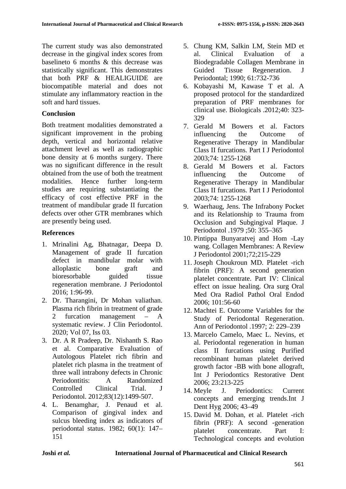The current study was also demonstrated decrease in the gingival index scores from baselineto 6 months & this decrease was statistically significant. This demonstrates that both PRF & HEALIGUIDE are biocompatible material and does not stimulate any inflammatory reaction in the soft and hard tissues.

# **Conclusion**

Both treatment modalities demonstrated a significant improvement in the probing depth, vertical and horizontal relative attachment level as well as radiographic bone density at 6 months surgery. There was no significant difference in the result obtained from the use of both the treatment modalities. Hence further long-term studies are requiring substantiating the efficacy of cost effective PRF in the treatment of mandibular grade II furcation defects over other GTR membranes which are presently being used.

# **References**

- 1. Mrinalini Ag, Bhatnagar, Deepa D. Management of grade II furcation defect in mandibular molar with alloplastic bone graft and bioresorbable guided tissue regeneration membrane. J Periodontol 2016; 1:96-99.
- 2. Dr. Tharangini, Dr Mohan valiathan. Plasma rich fibrin in treatment of grade 2 furcation management – A systematic review. J Clin Periodontol. 2020; Vol 07, Iss 03.
- 3. Dr. A R Pradeep, Dr. Nishanth S. Rao et al. Comparative Evaluation of Autologous Platelet rich fibrin and platelet rich plasma in the treatment of three wall intrabony defects in Chronic Periodontitis: A Randomized Controlled Clinical Trial. J Periodontol. 2012;83(12):1499-507.
- 4. L. Benamghar, J. Penaud et al. Comparison of gingival index and sulcus bleeding index as indicators of periodontal status. 1982; 60(1): 147– 151
- 5. Chung KM, Salkin LM, Stein MD et al. Clinical Evaluation of a Biodegradable Collagen Membrane in Guided Tissue Regeneration. J Periodontal; 1990; 61:732-736
- 6. Kobayashi M, Kawase T et al. A proposed protocol for the standardized preparation of PRF membranes for clinical use. Biologicals .2012;40: 323- 329
- 7. Gerald M Bowers et al. Factors influencing the Outcome of Regenerative Therapy in Mandibular Class II furcations. Part I J Periodontol 2003;74: 1255-1268
- 8. Gerald M Bowers et al. Factors influencing the Outcome of Regenerative Therapy in Mandibular Class II furcations. Part I J Periodontol 2003;74: 1255-1268
- 9. Waerhaug, Jens. The Infrabony Pocket and its Relationship to Trauma from Occlusion and Subgingival Plaque. J Periodontol .1979 ;50: 355–365
- 10. Pintippa Bunyaratvej and Hom -Lay wang. Collagen Membranes: A Review J Periodontol 2001;72;215-229
- 11. Joseph Choukroun MD. Platelet -rich fibrin (PRF): A second generation platelet concentrate. Part IV: Clinical effect on issue healing. Ora surg Oral Med Ora Radiol Pathol Oral Endod 2006; 101:56-60
- 12. Machtei E. Outcome Variables for the Study of Periodontal Regeneration. Ann of Periodontol .1997; 2: 229–239
- 13. Marcelo Camelo, Maec L. Nevins, et al. Periodontal regeneration in human class II furcations using Purified recombinant human platelet derived growth factor -BB with bone allograft, Int J Periodontics Restorative Dent 2006; 23:213-225
- 14. Meyle J. Periodontics: Current concepts and emerging trends.Int J Dent Hyg 2006; 43–49
- 15. David M. Dohan, et al. Platelet -rich fibrin (PRF): A second -generation platelet concentrate. Part I: Technological concepts and evolution